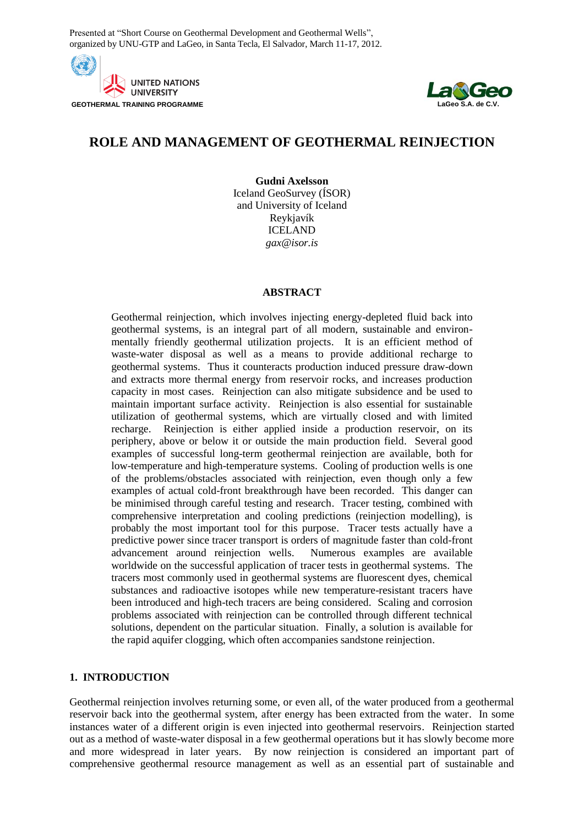Presented at "Short Course on Geothermal Development and Geothermal Wells", organized by UNU-GTP and LaGeo, in Santa Tecla, El Salvador, March 11-17, 2012.





# **ROLE AND MANAGEMENT OF GEOTHERMAL REINJECTION**

**Gudni Axelsson** Iceland GeoSurvey (ÍSOR) and University of Iceland Reykjavík ICELAND *gax@isor.is*

### **ABSTRACT**

Geothermal reinjection, which involves injecting energy-depleted fluid back into geothermal systems, is an integral part of all modern, sustainable and environmentally friendly geothermal utilization projects. It is an efficient method of waste-water disposal as well as a means to provide additional recharge to geothermal systems. Thus it counteracts production induced pressure draw-down and extracts more thermal energy from reservoir rocks, and increases production capacity in most cases. Reinjection can also mitigate subsidence and be used to maintain important surface activity. Reinjection is also essential for sustainable utilization of geothermal systems, which are virtually closed and with limited recharge. Reinjection is either applied inside a production reservoir, on its periphery, above or below it or outside the main production field. Several good examples of successful long-term geothermal reinjection are available, both for low-temperature and high-temperature systems. Cooling of production wells is one of the problems/obstacles associated with reinjection, even though only a few examples of actual cold-front breakthrough have been recorded. This danger can be minimised through careful testing and research. Tracer testing, combined with comprehensive interpretation and cooling predictions (reinjection modelling), is probably the most important tool for this purpose. Tracer tests actually have a predictive power since tracer transport is orders of magnitude faster than cold-front advancement around reinjection wells. Numerous examples are available worldwide on the successful application of tracer tests in geothermal systems. The tracers most commonly used in geothermal systems are fluorescent dyes, chemical substances and radioactive isotopes while new temperature-resistant tracers have been introduced and high-tech tracers are being considered. Scaling and corrosion problems associated with reinjection can be controlled through different technical solutions, dependent on the particular situation. Finally, a solution is available for the rapid aquifer clogging, which often accompanies sandstone reinjection.

# **1. INTRODUCTION**

Geothermal reinjection involves returning some, or even all, of the water produced from a geothermal reservoir back into the geothermal system, after energy has been extracted from the water. In some instances water of a different origin is even injected into geothermal reservoirs. Reinjection started out as a method of waste-water disposal in a few geothermal operations but it has slowly become more and more widespread in later years. By now reinjection is considered an important part of comprehensive geothermal resource management as well as an essential part of sustainable and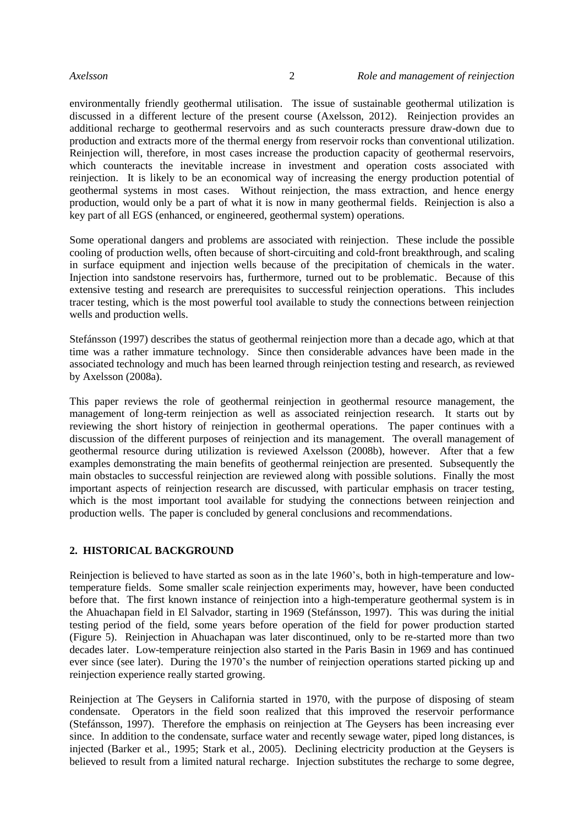environmentally friendly geothermal utilisation. The issue of sustainable geothermal utilization is discussed in a different lecture of the present course (Axelsson, 2012). Reinjection provides an additional recharge to geothermal reservoirs and as such counteracts pressure draw-down due to production and extracts more of the thermal energy from reservoir rocks than conventional utilization. Reinjection will, therefore, in most cases increase the production capacity of geothermal reservoirs, which counteracts the inevitable increase in investment and operation costs associated with reinjection. It is likely to be an economical way of increasing the energy production potential of geothermal systems in most cases. Without reinjection, the mass extraction, and hence energy production, would only be a part of what it is now in many geothermal fields. Reinjection is also a key part of all EGS (enhanced, or engineered, geothermal system) operations.

Some operational dangers and problems are associated with reinjection. These include the possible cooling of production wells, often because of short-circuiting and cold-front breakthrough, and scaling in surface equipment and injection wells because of the precipitation of chemicals in the water. Injection into sandstone reservoirs has, furthermore, turned out to be problematic. Because of this extensive testing and research are prerequisites to successful reinjection operations. This includes tracer testing, which is the most powerful tool available to study the connections between reinjection wells and production wells.

Stefánsson (1997) describes the status of geothermal reinjection more than a decade ago, which at that time was a rather immature technology. Since then considerable advances have been made in the associated technology and much has been learned through reinjection testing and research, as reviewed by Axelsson (2008a).

This paper reviews the role of geothermal reinjection in geothermal resource management, the management of long-term reinjection as well as associated reinjection research. It starts out by reviewing the short history of reinjection in geothermal operations. The paper continues with a discussion of the different purposes of reinjection and its management. The overall management of geothermal resource during utilization is reviewed Axelsson (2008b), however. After that a few examples demonstrating the main benefits of geothermal reinjection are presented. Subsequently the main obstacles to successful reinjection are reviewed along with possible solutions. Finally the most important aspects of reinjection research are discussed, with particular emphasis on tracer testing, which is the most important tool available for studying the connections between reinjection and production wells. The paper is concluded by general conclusions and recommendations.

### **2. HISTORICAL BACKGROUND**

Reinjection is believed to have started as soon as in the late 1960's, both in high-temperature and lowtemperature fields. Some smaller scale reinjection experiments may, however, have been conducted before that. The first known instance of reinjection into a high-temperature geothermal system is in the Ahuachapan field in El Salvador, starting in 1969 (Stefánsson, 1997). This was during the initial testing period of the field, some years before operation of the field for power production started (Figure 5). Reinjection in Ahuachapan was later discontinued, only to be re-started more than two decades later. Low-temperature reinjection also started in the Paris Basin in 1969 and has continued ever since (see later). During the 1970's the number of reinjection operations started picking up and reinjection experience really started growing.

Reinjection at The Geysers in California started in 1970, with the purpose of disposing of steam condensate. Operators in the field soon realized that this improved the reservoir performance (Stefánsson, 1997). Therefore the emphasis on reinjection at The Geysers has been increasing ever since. In addition to the condensate, surface water and recently sewage water, piped long distances, is injected (Barker et al*.*, 1995; Stark et al*.*, 2005). Declining electricity production at the Geysers is believed to result from a limited natural recharge. Injection substitutes the recharge to some degree,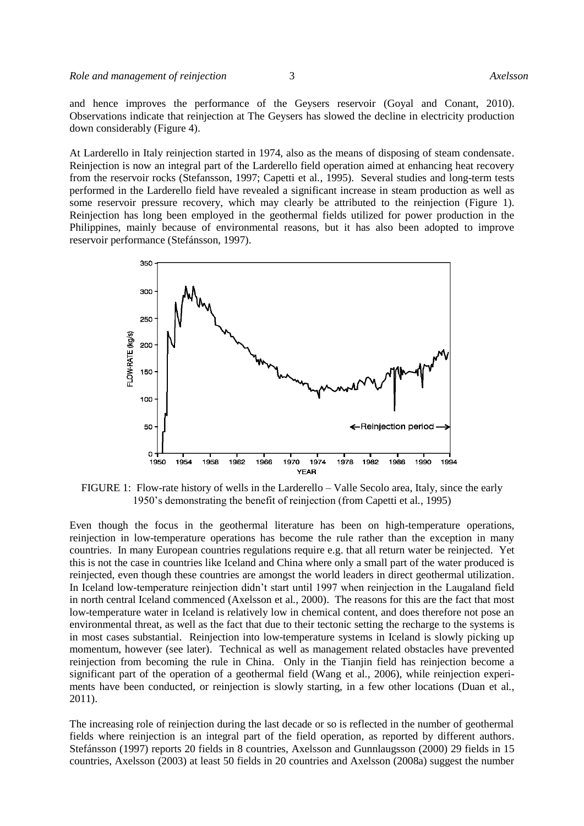and hence improves the performance of the Geysers reservoir (Goyal and Conant, 2010). Observations indicate that reinjection at The Geysers has slowed the decline in electricity production down considerably (Figure 4).

At Larderello in Italy reinjection started in 1974, also as the means of disposing of steam condensate. Reinjection is now an integral part of the Larderello field operation aimed at enhancing heat recovery from the reservoir rocks (Stefansson, 1997; Capetti et al*.*, 1995). Several studies and long-term tests performed in the Larderello field have revealed a significant increase in steam production as well as some reservoir pressure recovery, which may clearly be attributed to the reinjection (Figure 1). Reinjection has long been employed in the geothermal fields utilized for power production in the Philippines, mainly because of environmental reasons, but it has also been adopted to improve reservoir performance (Stefánsson, 1997).



FIGURE 1: Flow-rate history of wells in the Larderello – Valle Secolo area, Italy, since the early 1950's demonstrating the benefit of reinjection (from Capetti et al*.,* 1995)

Even though the focus in the geothermal literature has been on high-temperature operations, reinjection in low-temperature operations has become the rule rather than the exception in many countries. In many European countries regulations require e.g. that all return water be reinjected. Yet this is not the case in countries like Iceland and China where only a small part of the water produced is reinjected, even though these countries are amongst the world leaders in direct geothermal utilization. In Iceland low-temperature reinjection didn't start until 1997 when reinjection in the Laugaland field in north central Iceland commenced (Axelsson et al*.*, 2000). The reasons for this are the fact that most low-temperature water in Iceland is relatively low in chemical content, and does therefore not pose an environmental threat, as well as the fact that due to their tectonic setting the recharge to the systems is in most cases substantial. Reinjection into low-temperature systems in Iceland is slowly picking up momentum, however (see later). Technical as well as management related obstacles have prevented reinjection from becoming the rule in China. Only in the Tianjin field has reinjection become a significant part of the operation of a geothermal field (Wang et al*.*, 2006), while reinjection experiments have been conducted, or reinjection is slowly starting, in a few other locations (Duan et al*.*, 2011).

The increasing role of reinjection during the last decade or so is reflected in the number of geothermal fields where reinjection is an integral part of the field operation, as reported by different authors. Stefánsson (1997) reports 20 fields in 8 countries, Axelsson and Gunnlaugsson (2000) 29 fields in 15 countries, Axelsson (2003) at least 50 fields in 20 countries and Axelsson (2008a) suggest the number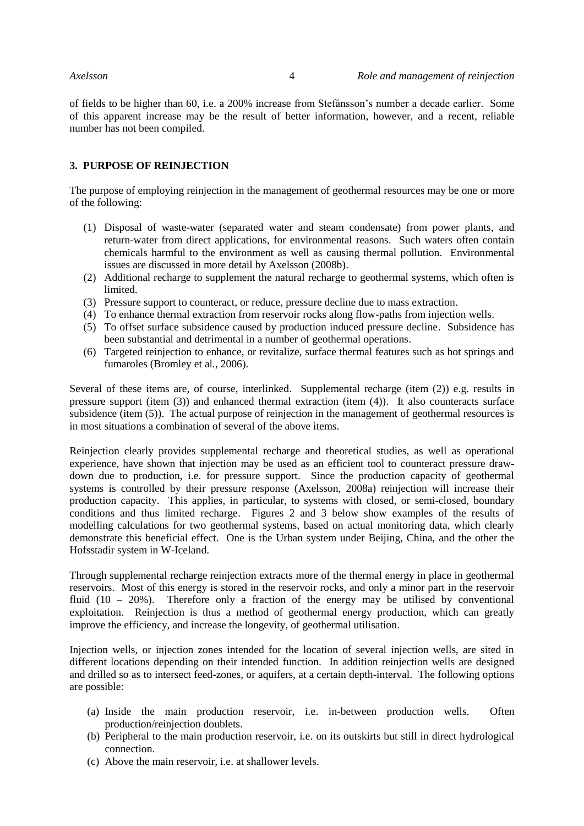of fields to be higher than 60, i.e. a 200% increase from Stefánsson's number a decade earlier. Some of this apparent increase may be the result of better information, however, and a recent, reliable number has not been compiled.

### **3. PURPOSE OF REINJECTION**

The purpose of employing reinjection in the management of geothermal resources may be one or more of the following:

- (1) Disposal of waste-water (separated water and steam condensate) from power plants, and return-water from direct applications, for environmental reasons. Such waters often contain chemicals harmful to the environment as well as causing thermal pollution. Environmental issues are discussed in more detail by Axelsson (2008b).
- (2) Additional recharge to supplement the natural recharge to geothermal systems, which often is limited.
- (3) Pressure support to counteract, or reduce, pressure decline due to mass extraction.
- (4) To enhance thermal extraction from reservoir rocks along flow-paths from injection wells.
- (5) To offset surface subsidence caused by production induced pressure decline. Subsidence has been substantial and detrimental in a number of geothermal operations.
- (6) Targeted reinjection to enhance, or revitalize, surface thermal features such as hot springs and fumaroles (Bromley et al*.*, 2006).

Several of these items are, of course, interlinked. Supplemental recharge (item (2)) e.g. results in pressure support (item (3)) and enhanced thermal extraction (item (4)). It also counteracts surface subsidence (item (5)). The actual purpose of reinjection in the management of geothermal resources is in most situations a combination of several of the above items.

Reinjection clearly provides supplemental recharge and theoretical studies, as well as operational experience, have shown that injection may be used as an efficient tool to counteract pressure drawdown due to production, i.e. for pressure support. Since the production capacity of geothermal systems is controlled by their pressure response (Axelsson, 2008a) reinjection will increase their production capacity. This applies, in particular, to systems with closed, or semi-closed, boundary conditions and thus limited recharge. Figures 2 and 3 below show examples of the results of modelling calculations for two geothermal systems, based on actual monitoring data, which clearly demonstrate this beneficial effect. One is the Urban system under Beijing, China, and the other the Hofsstadir system in W-Iceland.

Through supplemental recharge reinjection extracts more of the thermal energy in place in geothermal reservoirs. Most of this energy is stored in the reservoir rocks, and only a minor part in the reservoir fluid  $(10 - 20\%)$ . Therefore only a fraction of the energy may be utilised by conventional exploitation. Reinjection is thus a method of geothermal energy production, which can greatly improve the efficiency, and increase the longevity, of geothermal utilisation.

Injection wells, or injection zones intended for the location of several injection wells, are sited in different locations depending on their intended function. In addition reinjection wells are designed and drilled so as to intersect feed-zones, or aquifers, at a certain depth-interval. The following options are possible:

- (a) Inside the main production reservoir, i.e. in-between production wells. Often production/reinjection doublets.
- (b) Peripheral to the main production reservoir, i.e. on its outskirts but still in direct hydrological connection.
- (c) Above the main reservoir, i.e. at shallower levels.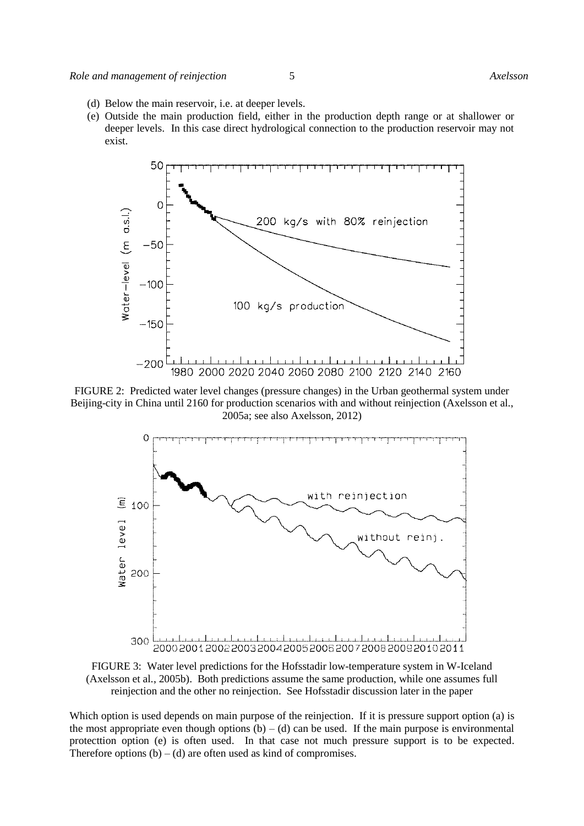- (d) Below the main reservoir, i.e. at deeper levels.
- (e) Outside the main production field, either in the production depth range or at shallower or deeper levels. In this case direct hydrological connection to the production reservoir may not exist.



FIGURE 2: Predicted water level changes (pressure changes) in the Urban geothermal system under Beijing-city in China until 2160 for production scenarios with and without reinjection (Axelsson et al*.*, 2005a; see also Axelsson, 2012)



FIGURE 3: Water level predictions for the Hofsstadir low-temperature system in W-Iceland (Axelsson et al*.*, 2005b). Both predictions assume the same production, while one assumes full reinjection and the other no reinjection. See Hofsstadir discussion later in the paper

Which option is used depends on main purpose of the reinjection. If it is pressure support option (a) is the most appropriate even though options  $(b) - (d)$  can be used. If the main purpose is environmental protecttion option (e) is often used. In that case not much pressure support is to be expected. Therefore options  $(b) - (d)$  are often used as kind of compromises.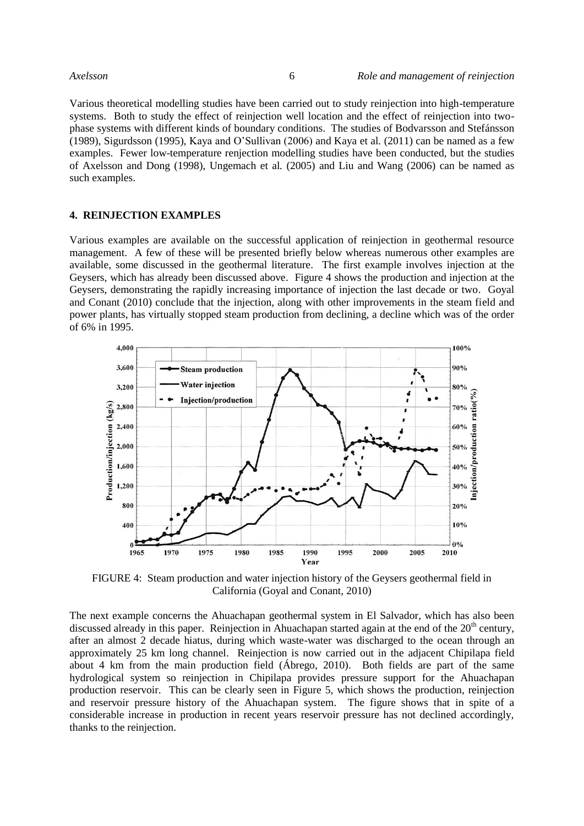Various theoretical modelling studies have been carried out to study reinjection into high-temperature systems. Both to study the effect of reinjection well location and the effect of reinjection into twophase systems with different kinds of boundary conditions. The studies of Bodvarsson and Stefánsson (1989), Sigurdsson (1995), Kaya and O'Sullivan (2006) and Kaya et al*.* (2011) can be named as a few examples. Fewer low-temperature renjection modelling studies have been conducted, but the studies of Axelsson and Dong (1998), Ungemach et al*.* (2005) and Liu and Wang (2006) can be named as such examples.

# **4. REINJECTION EXAMPLES**

Various examples are available on the successful application of reinjection in geothermal resource management. A few of these will be presented briefly below whereas numerous other examples are available, some discussed in the geothermal literature. The first example involves injection at the Geysers, which has already been discussed above. Figure 4 shows the production and injection at the Geysers, demonstrating the rapidly increasing importance of injection the last decade or two. Goyal and Conant (2010) conclude that the injection, along with other improvements in the steam field and power plants, has virtually stopped steam production from declining, a decline which was of the order of 6% in 1995.



FIGURE 4: Steam production and water injection history of the Geysers geothermal field in California (Goyal and Conant, 2010)

The next example concerns the Ahuachapan geothermal system in El Salvador, which has also been discussed already in this paper. Reinjection in Ahuachapan started again at the end of the 20<sup>th</sup> century, after an almost 2 decade hiatus, during which waste-water was discharged to the ocean through an approximately 25 km long channel. Reinjection is now carried out in the adjacent Chipilapa field about 4 km from the main production field (Ábrego, 2010). Both fields are part of the same hydrological system so reinjection in Chipilapa provides pressure support for the Ahuachapan production reservoir. This can be clearly seen in Figure 5, which shows the production, reinjection and reservoir pressure history of the Ahuachapan system. The figure shows that in spite of a considerable increase in production in recent years reservoir pressure has not declined accordingly, thanks to the reinjection.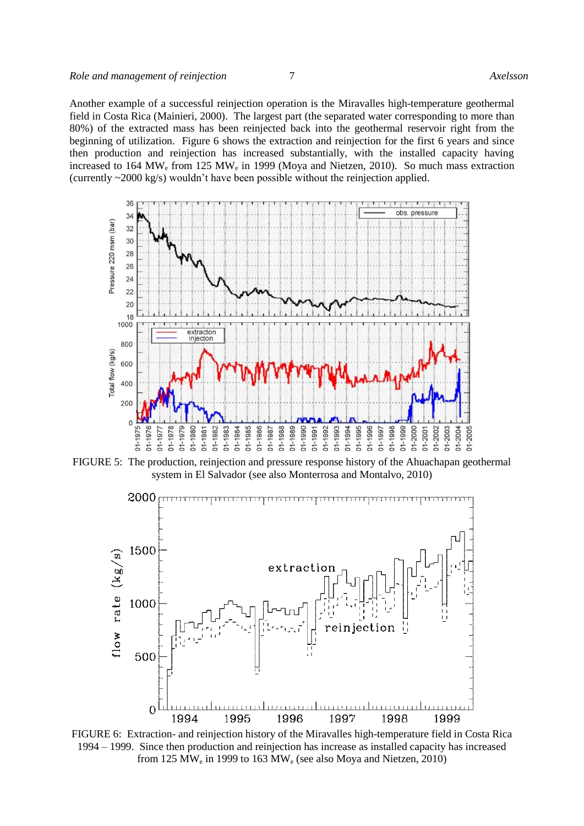Another example of a successful reinjection operation is the Miravalles high-temperature geothermal field in Costa Rica (Mainieri, 2000). The largest part (the separated water corresponding to more than 80%) of the extracted mass has been reinjected back into the geothermal reservoir right from the beginning of utilization. Figure 6 shows the extraction and reinjection for the first 6 years and since then production and reinjection has increased substantially, with the installed capacity having increased to 164 MW<sub>e</sub> from 125 MW<sub>e</sub> in 1999 (Moya and Nietzen, 2010). So much mass extraction (currently ~2000 kg/s) wouldn't have been possible without the reinjection applied.



FIGURE 5: The production, reinjection and pressure response history of the Ahuachapan geothermal system in El Salvador (see also Monterrosa and Montalvo, 2010)



FIGURE 6: Extraction- and reinjection history of the Miravalles high-temperature field in Costa Rica 1994 – 1999. Since then production and reinjection has increase as installed capacity has increased from 125 MW<sub>e</sub> in 1999 to 163 MW<sub>e</sub> (see also Moya and Nietzen, 2010)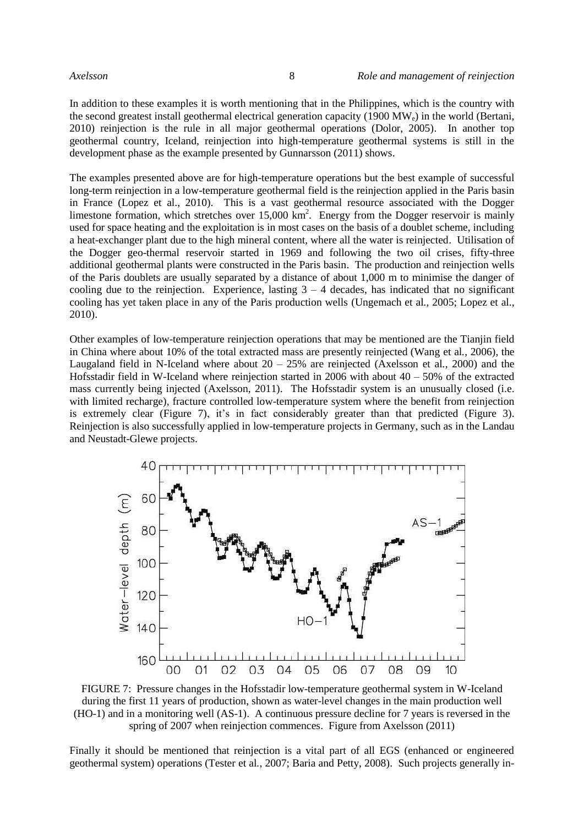In addition to these examples it is worth mentioning that in the Philippines, which is the country with the second greatest install geothermal electrical generation capacity (1900 MWe) in the world (Bertani, 2010) reinjection is the rule in all major geothermal operations (Dolor, 2005). In another top geothermal country, Iceland, reinjection into high-temperature geothermal systems is still in the development phase as the example presented by Gunnarsson (2011) shows.

The examples presented above are for high-temperature operations but the best example of successful long-term reinjection in a low-temperature geothermal field is the reinjection applied in the Paris basin in France (Lopez et al., 2010). This is a vast geothermal resource associated with the Dogger limestone formation, which stretches over  $15,000 \text{ km}^2$ . Energy from the Dogger reservoir is mainly used for space heating and the exploitation is in most cases on the basis of a doublet scheme, including a heat-exchanger plant due to the high mineral content, where all the water is reinjected. Utilisation of the Dogger geo-thermal reservoir started in 1969 and following the two oil crises, fifty-three additional geothermal plants were constructed in the Paris basin. The production and reinjection wells of the Paris doublets are usually separated by a distance of about 1,000 m to minimise the danger of cooling due to the reinjection. Experience, lasting  $3 - 4$  decades, has indicated that no significant cooling has yet taken place in any of the Paris production wells (Ungemach et al*.*, 2005; Lopez et al., 2010).

Other examples of low-temperature reinjection operations that may be mentioned are the Tianjin field in China where about 10% of the total extracted mass are presently reinjected (Wang et al*.*, 2006), the Laugaland field in N-Iceland where about 20 – 25% are reinjected (Axelsson et al*.*, 2000) and the Hofsstadir field in W-Iceland where reinjection started in 2006 with about  $40 - 50\%$  of the extracted mass currently being injected (Axelsson, 2011). The Hofsstadir system is an unusually closed (i.e. with limited recharge), fracture controlled low-temperature system where the benefit from reinjection is extremely clear (Figure 7), it's in fact considerably greater than that predicted (Figure 3). Reinjection is also successfully applied in low-temperature projects in Germany, such as in the Landau and Neustadt-Glewe projects.



FIGURE 7: Pressure changes in the Hofsstadir low-temperature geothermal system in W-Iceland during the first 11 years of production, shown as water-level changes in the main production well (HO-1) and in a monitoring well (AS-1). A continuous pressure decline for 7 years is reversed in the spring of 2007 when reinjection commences. Figure from Axelsson (2011)

Finally it should be mentioned that reinjection is a vital part of all EGS (enhanced or engineered geothermal system) operations (Tester et al*.*, 2007; Baria and Petty, 2008). Such projects generally in-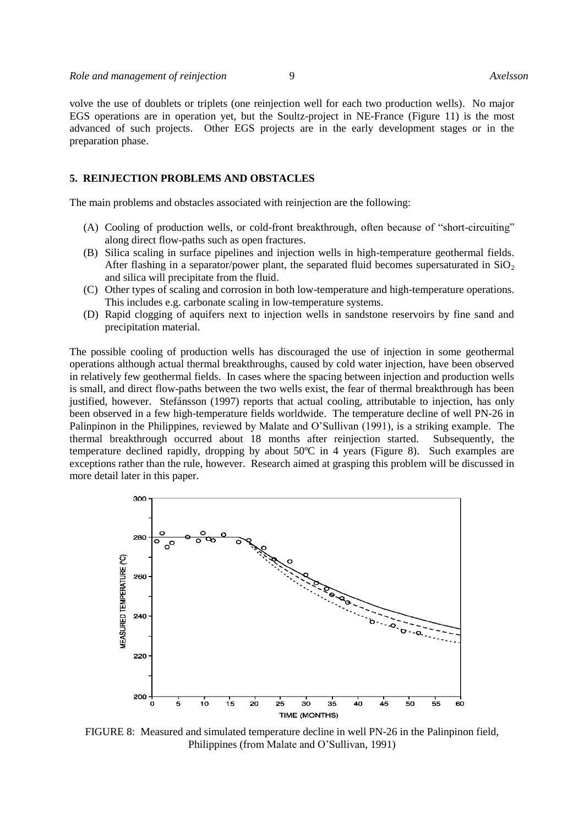volve the use of doublets or triplets (one reinjection well for each two production wells). No major EGS operations are in operation yet, but the Soultz-project in NE-France (Figure 11) is the most advanced of such projects. Other EGS projects are in the early development stages or in the preparation phase.

# **5. REINJECTION PROBLEMS AND OBSTACLES**

The main problems and obstacles associated with reinjection are the following:

- (A) Cooling of production wells, or cold-front breakthrough, often because of "short-circuiting" along direct flow-paths such as open fractures.
- (B) Silica scaling in surface pipelines and injection wells in high-temperature geothermal fields. After flashing in a separator/power plant, the separated fluid becomes supersaturated in  $SiO<sub>2</sub>$ and silica will precipitate from the fluid.
- (C) Other types of scaling and corrosion in both low-temperature and high-temperature operations. This includes e.g. carbonate scaling in low-temperature systems.
- (D) Rapid clogging of aquifers next to injection wells in sandstone reservoirs by fine sand and precipitation material.

The possible cooling of production wells has discouraged the use of injection in some geothermal operations although actual thermal breakthroughs, caused by cold water injection, have been observed in relatively few geothermal fields. In cases where the spacing between injection and production wells is small, and direct flow-paths between the two wells exist, the fear of thermal breakthrough has been justified, however. Stefánsson (1997) reports that actual cooling, attributable to injection, has only been observed in a few high-temperature fields worldwide. The temperature decline of well PN-26 in Palinpinon in the Philippines, reviewed by Malate and O'Sullivan (1991), is a striking example. The thermal breakthrough occurred about 18 months after reinjection started. Subsequently, the temperature declined rapidly, dropping by about 50ºC in 4 years (Figure 8). Such examples are exceptions rather than the rule, however. Research aimed at grasping this problem will be discussed in more detail later in this paper.



FIGURE 8: Measured and simulated temperature decline in well PN-26 in the Palinpinon field, Philippines (from Malate and O'Sullivan, 1991)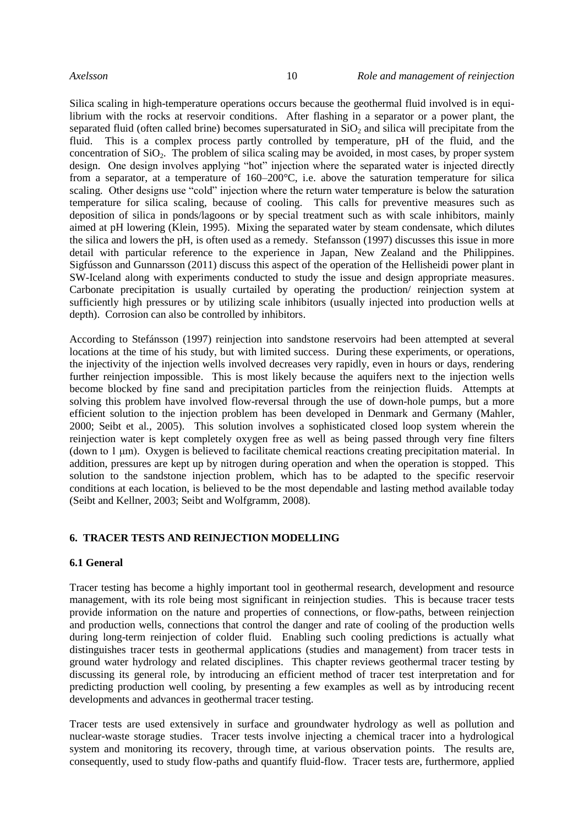Silica scaling in high-temperature operations occurs because the geothermal fluid involved is in equilibrium with the rocks at reservoir conditions. After flashing in a separator or a power plant, the separated fluid (often called brine) becomes supersaturated in  $SiO<sub>2</sub>$  and silica will precipitate from the fluid. This is a complex process partly controlled by temperature, pH of the fluid, and the concentration of  $SiO<sub>2</sub>$ . The problem of silica scaling may be avoided, in most cases, by proper system design. One design involves applying "hot" injection where the separated water is injected directly from a separator, at a temperature of 160–200°C, i.e. above the saturation temperature for silica scaling. Other designs use "cold" injection where the return water temperature is below the saturation temperature for silica scaling, because of cooling. This calls for preventive measures such as deposition of silica in ponds/lagoons or by special treatment such as with scale inhibitors, mainly aimed at pH lowering (Klein, 1995). Mixing the separated water by steam condensate, which dilutes the silica and lowers the pH, is often used as a remedy. Stefansson (1997) discusses this issue in more detail with particular reference to the experience in Japan, New Zealand and the Philippines. Sigfússon and Gunnarsson (2011) discuss this aspect of the operation of the Hellisheidi power plant in SW-Iceland along with experiments conducted to study the issue and design appropriate measures. Carbonate precipitation is usually curtailed by operating the production/ reinjection system at sufficiently high pressures or by utilizing scale inhibitors (usually injected into production wells at depth). Corrosion can also be controlled by inhibitors.

According to Stefánsson (1997) reinjection into sandstone reservoirs had been attempted at several locations at the time of his study, but with limited success. During these experiments, or operations, the injectivity of the injection wells involved decreases very rapidly, even in hours or days, rendering further reinjection impossible. This is most likely because the aquifers next to the injection wells become blocked by fine sand and precipitation particles from the reinjection fluids. Attempts at solving this problem have involved flow-reversal through the use of down-hole pumps, but a more efficient solution to the injection problem has been developed in Denmark and Germany (Mahler, 2000; Seibt et al*.*, 2005). This solution involves a sophisticated closed loop system wherein the reinjection water is kept completely oxygen free as well as being passed through very fine filters (down to 1 μm). Oxygen is believed to facilitate chemical reactions creating precipitation material. In addition, pressures are kept up by nitrogen during operation and when the operation is stopped. This solution to the sandstone injection problem, which has to be adapted to the specific reservoir conditions at each location, is believed to be the most dependable and lasting method available today (Seibt and Kellner, 2003; Seibt and Wolfgramm, 2008).

#### **6. TRACER TESTS AND REINJECTION MODELLING**

# **6.1 General**

Tracer testing has become a highly important tool in geothermal research, development and resource management, with its role being most significant in reinjection studies. This is because tracer tests provide information on the nature and properties of connections, or flow-paths, between reinjection and production wells, connections that control the danger and rate of cooling of the production wells during long-term reinjection of colder fluid. Enabling such cooling predictions is actually what distinguishes tracer tests in geothermal applications (studies and management) from tracer tests in ground water hydrology and related disciplines. This chapter reviews geothermal tracer testing by discussing its general role, by introducing an efficient method of tracer test interpretation and for predicting production well cooling, by presenting a few examples as well as by introducing recent developments and advances in geothermal tracer testing.

Tracer tests are used extensively in surface and groundwater hydrology as well as pollution and nuclear-waste storage studies. Tracer tests involve injecting a chemical tracer into a hydrological system and monitoring its recovery, through time, at various observation points. The results are, consequently, used to study flow-paths and quantify fluid-flow. Tracer tests are, furthermore, applied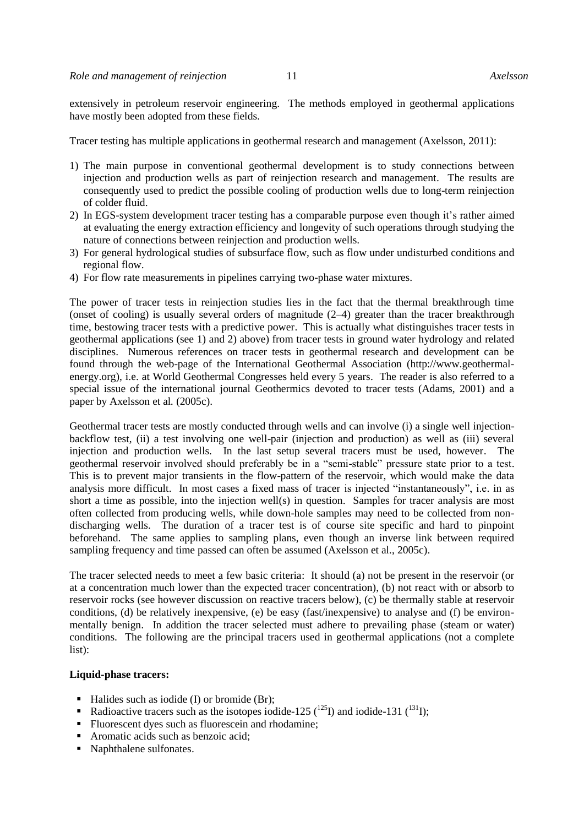extensively in petroleum reservoir engineering. The methods employed in geothermal applications have mostly been adopted from these fields.

Tracer testing has multiple applications in geothermal research and management (Axelsson, 2011):

- 1) The main purpose in conventional geothermal development is to study connections between injection and production wells as part of reinjection research and management. The results are consequently used to predict the possible cooling of production wells due to long-term reinjection of colder fluid.
- 2) In EGS-system development tracer testing has a comparable purpose even though it's rather aimed at evaluating the energy extraction efficiency and longevity of such operations through studying the nature of connections between reinjection and production wells.
- 3) For general hydrological studies of subsurface flow, such as flow under undisturbed conditions and regional flow.
- 4) For flow rate measurements in pipelines carrying two-phase water mixtures.

The power of tracer tests in reinjection studies lies in the fact that the thermal breakthrough time (onset of cooling) is usually several orders of magnitude (2–4) greater than the tracer breakthrough time, bestowing tracer tests with a predictive power. This is actually what distinguishes tracer tests in geothermal applications (see 1) and 2) above) from tracer tests in ground water hydrology and related disciplines. Numerous references on tracer tests in geothermal research and development can be found through the web-page of the International Geothermal Association (http://www.geothermalenergy.org), i.e. at World Geothermal Congresses held every 5 years. The reader is also referred to a special issue of the international journal Geothermics devoted to tracer tests (Adams, 2001) and a paper by Axelsson et al*.* (2005c).

Geothermal tracer tests are mostly conducted through wells and can involve (i) a single well injectionbackflow test, (ii) a test involving one well-pair (injection and production) as well as (iii) several injection and production wells. In the last setup several tracers must be used, however. The geothermal reservoir involved should preferably be in a "semi-stable" pressure state prior to a test. This is to prevent major transients in the flow-pattern of the reservoir, which would make the data analysis more difficult. In most cases a fixed mass of tracer is injected "instantaneously", i.e. in as short a time as possible, into the injection well(s) in question. Samples for tracer analysis are most often collected from producing wells, while down-hole samples may need to be collected from nondischarging wells. The duration of a tracer test is of course site specific and hard to pinpoint beforehand. The same applies to sampling plans, even though an inverse link between required sampling frequency and time passed can often be assumed (Axelsson et al*.*, 2005c).

The tracer selected needs to meet a few basic criteria: It should (a) not be present in the reservoir (or at a concentration much lower than the expected tracer concentration), (b) not react with or absorb to reservoir rocks (see however discussion on reactive tracers below), (c) be thermally stable at reservoir conditions, (d) be relatively inexpensive, (e) be easy (fast/inexpensive) to analyse and (f) be environmentally benign. In addition the tracer selected must adhere to prevailing phase (steam or water) conditions. The following are the principal tracers used in geothermal applications (not a complete list):

#### **Liquid-phase tracers:**

- Halides such as iodide (I) or bromide (Br);
- Radioactive tracers such as the isotopes iodide-125 ( $^{125}$ I) and iodide-131 ( $^{131}$ I);
- Fluorescent dyes such as fluorescein and rhodamine;
- Aromatic acids such as benzoic acid;
- Naphthalene sulfonates.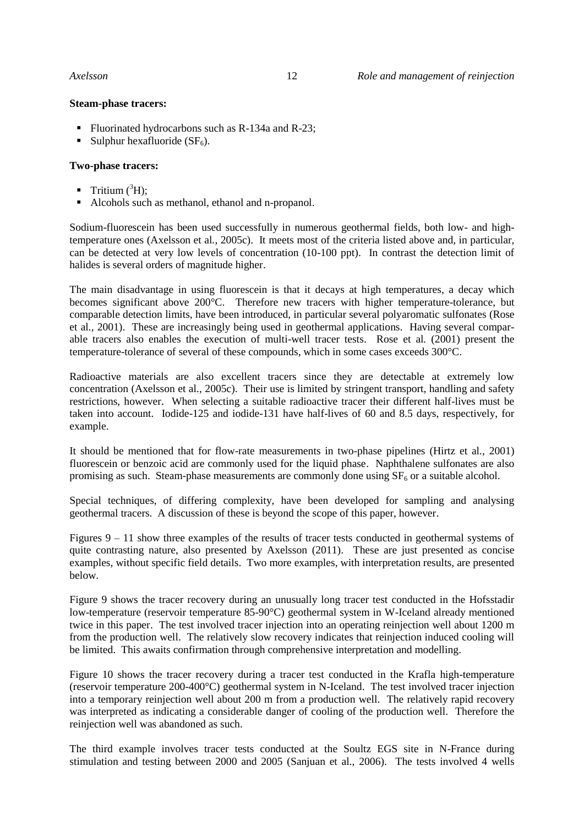# **Steam-phase tracers:**

- Fluorinated hydrocarbons such as R-134a and R-23;
- Sulphur hexafluoride  $(SF_6)$ .

# **Two-phase tracers:**

- **Tritium**  $(^{3}H)$ :
- Alcohols such as methanol, ethanol and n-propanol.

Sodium-fluorescein has been used successfully in numerous geothermal fields, both low- and hightemperature ones (Axelsson et al*.*, 2005c). It meets most of the criteria listed above and, in particular, can be detected at very low levels of concentration (10-100 ppt). In contrast the detection limit of halides is several orders of magnitude higher.

The main disadvantage in using fluorescein is that it decays at high temperatures, a decay which becomes significant above 200°C. Therefore new tracers with higher temperature-tolerance, but comparable detection limits, have been introduced, in particular several polyaromatic sulfonates (Rose et al*.*, 2001). These are increasingly being used in geothermal applications. Having several comparable tracers also enables the execution of multi-well tracer tests. Rose et al*.* (2001) present the temperature-tolerance of several of these compounds, which in some cases exceeds 300°C.

Radioactive materials are also excellent tracers since they are detectable at extremely low concentration (Axelsson et al*.*, 2005c). Their use is limited by stringent transport, handling and safety restrictions, however. When selecting a suitable radioactive tracer their different half-lives must be taken into account. Iodide-125 and iodide-131 have half-lives of 60 and 8.5 days, respectively, for example.

It should be mentioned that for flow-rate measurements in two-phase pipelines (Hirtz et al*.*, 2001) fluorescein or benzoic acid are commonly used for the liquid phase. Naphthalene sulfonates are also promising as such. Steam-phase measurements are commonly done using  $SF<sub>6</sub>$  or a suitable alcohol.

Special techniques, of differing complexity, have been developed for sampling and analysing geothermal tracers. A discussion of these is beyond the scope of this paper, however.

Figures 9 – 11 show three examples of the results of tracer tests conducted in geothermal systems of quite contrasting nature, also presented by Axelsson (2011). These are just presented as concise examples, without specific field details. Two more examples, with interpretation results, are presented below.

Figure 9 shows the tracer recovery during an unusually long tracer test conducted in the Hofsstadir low-temperature (reservoir temperature 85-90°C) geothermal system in W-Iceland already mentioned twice in this paper. The test involved tracer injection into an operating reinjection well about 1200 m from the production well. The relatively slow recovery indicates that reinjection induced cooling will be limited. This awaits confirmation through comprehensive interpretation and modelling.

Figure 10 shows the tracer recovery during a tracer test conducted in the Krafla high-temperature (reservoir temperature 200-400°C) geothermal system in N-Iceland. The test involved tracer injection into a temporary reinjection well about 200 m from a production well. The relatively rapid recovery was interpreted as indicating a considerable danger of cooling of the production well. Therefore the reinjection well was abandoned as such.

The third example involves tracer tests conducted at the Soultz EGS site in N-France during stimulation and testing between 2000 and 2005 (Sanjuan et al*.*, 2006). The tests involved 4 wells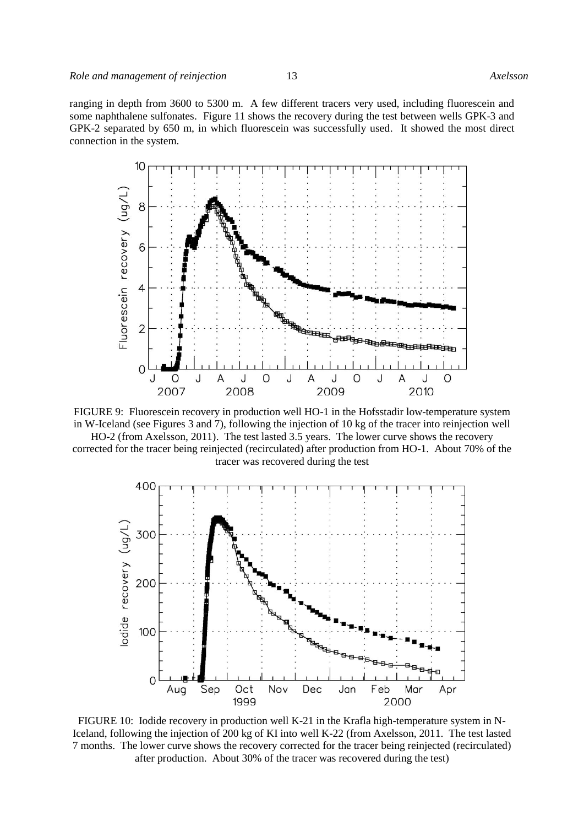ranging in depth from 3600 to 5300 m. A few different tracers very used, including fluorescein and some naphthalene sulfonates. Figure 11 shows the recovery during the test between wells GPK-3 and GPK-2 separated by 650 m, in which fluorescein was successfully used. It showed the most direct connection in the system.





HO-2 (from Axelsson, 2011). The test lasted 3.5 years. The lower curve shows the recovery corrected for the tracer being reinjected (recirculated) after production from HO-1. About 70% of the tracer was recovered during the test



FIGURE 10: Iodide recovery in production well K-21 in the Krafla high-temperature system in N-Iceland, following the injection of 200 kg of KI into well K-22 (from Axelsson, 2011. The test lasted 7 months. The lower curve shows the recovery corrected for the tracer being reinjected (recirculated) after production. About 30% of the tracer was recovered during the test)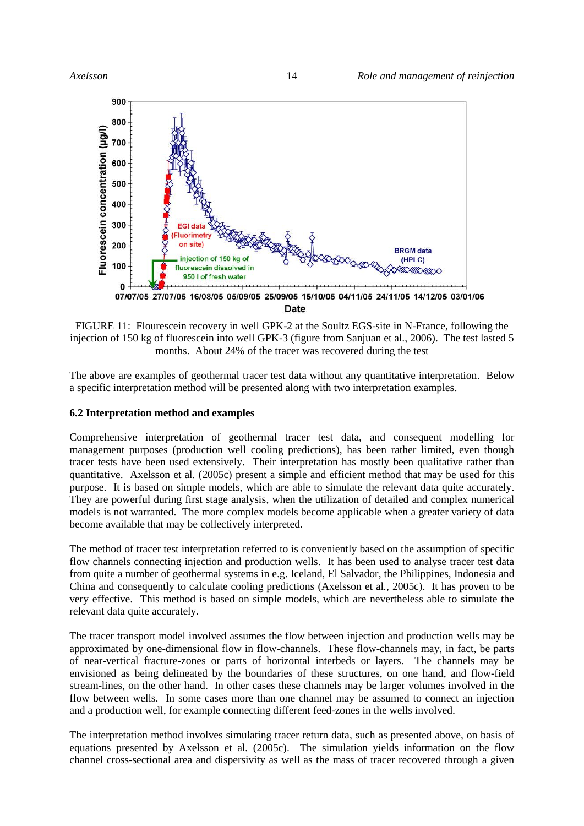

FIGURE 11: Flourescein recovery in well GPK-2 at the Soultz EGS-site in N-France, following the injection of 150 kg of fluorescein into well GPK-3 (figure from Sanjuan et al*.*, 2006). The test lasted 5 months. About 24% of the tracer was recovered during the test

The above are examples of geothermal tracer test data without any quantitative interpretation. Below a specific interpretation method will be presented along with two interpretation examples.

# **6.2 Interpretation method and examples**

Comprehensive interpretation of geothermal tracer test data, and consequent modelling for management purposes (production well cooling predictions), has been rather limited, even though tracer tests have been used extensively. Their interpretation has mostly been qualitative rather than quantitative. Axelsson et al*.* (2005c) present a simple and efficient method that may be used for this purpose. It is based on simple models, which are able to simulate the relevant data quite accurately. They are powerful during first stage analysis, when the utilization of detailed and complex numerical models is not warranted. The more complex models become applicable when a greater variety of data become available that may be collectively interpreted.

The method of tracer test interpretation referred to is conveniently based on the assumption of specific flow channels connecting injection and production wells. It has been used to analyse tracer test data from quite a number of geothermal systems in e.g. Iceland, El Salvador, the Philippines, Indonesia and China and consequently to calculate cooling predictions (Axelsson et al*.*, 2005c). It has proven to be very effective. This method is based on simple models, which are nevertheless able to simulate the relevant data quite accurately.

The tracer transport model involved assumes the flow between injection and production wells may be approximated by one-dimensional flow in flow-channels. These flow-channels may, in fact, be parts of near-vertical fracture-zones or parts of horizontal interbeds or layers. The channels may be envisioned as being delineated by the boundaries of these structures, on one hand, and flow-field stream-lines, on the other hand. In other cases these channels may be larger volumes involved in the flow between wells. In some cases more than one channel may be assumed to connect an injection and a production well, for example connecting different feed-zones in the wells involved.

The interpretation method involves simulating tracer return data, such as presented above, on basis of equations presented by Axelsson et al*.* (2005c). The simulation yields information on the flow channel cross-sectional area and dispersivity as well as the mass of tracer recovered through a given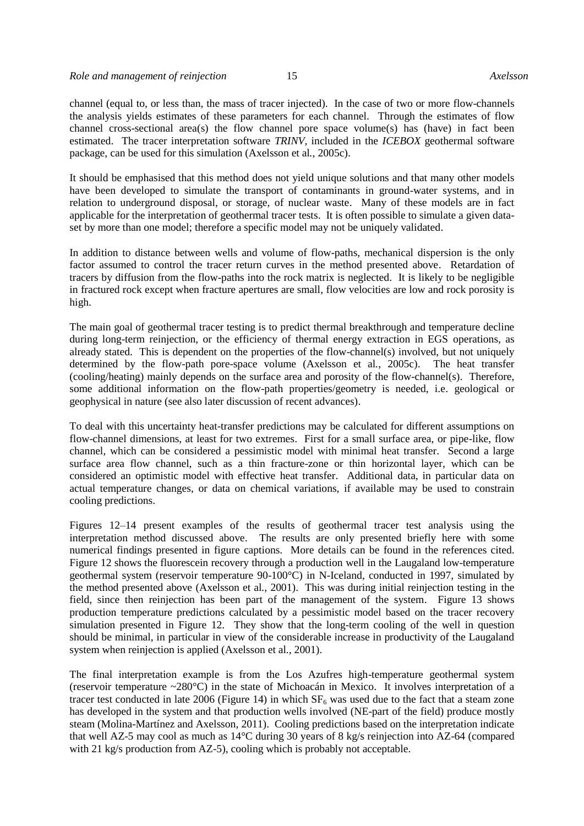channel (equal to, or less than, the mass of tracer injected). In the case of two or more flow-channels the analysis yields estimates of these parameters for each channel. Through the estimates of flow channel cross-sectional area(s) the flow channel pore space volume(s) has (have) in fact been estimated. The tracer interpretation software *TRINV*, included in the *ICEBOX* geothermal software package, can be used for this simulation (Axelsson et al*.*, 2005c).

It should be emphasised that this method does not yield unique solutions and that many other models have been developed to simulate the transport of contaminants in ground-water systems, and in relation to underground disposal, or storage, of nuclear waste. Many of these models are in fact applicable for the interpretation of geothermal tracer tests. It is often possible to simulate a given dataset by more than one model; therefore a specific model may not be uniquely validated.

In addition to distance between wells and volume of flow-paths, mechanical dispersion is the only factor assumed to control the tracer return curves in the method presented above. Retardation of tracers by diffusion from the flow-paths into the rock matrix is neglected. It is likely to be negligible in fractured rock except when fracture apertures are small, flow velocities are low and rock porosity is high.

The main goal of geothermal tracer testing is to predict thermal breakthrough and temperature decline during long-term reinjection, or the efficiency of thermal energy extraction in EGS operations, as already stated. This is dependent on the properties of the flow-channel(s) involved, but not uniquely determined by the flow-path pore-space volume (Axelsson et al*.*, 2005c). The heat transfer (cooling/heating) mainly depends on the surface area and porosity of the flow-channel(s). Therefore, some additional information on the flow-path properties/geometry is needed, i.e. geological or geophysical in nature (see also later discussion of recent advances).

To deal with this uncertainty heat-transfer predictions may be calculated for different assumptions on flow-channel dimensions, at least for two extremes. First for a small surface area, or pipe-like, flow channel, which can be considered a pessimistic model with minimal heat transfer. Second a large surface area flow channel, such as a thin fracture-zone or thin horizontal layer, which can be considered an optimistic model with effective heat transfer. Additional data, in particular data on actual temperature changes, or data on chemical variations, if available may be used to constrain cooling predictions.

Figures 12–14 present examples of the results of geothermal tracer test analysis using the interpretation method discussed above. The results are only presented briefly here with some numerical findings presented in figure captions. More details can be found in the references cited. Figure 12 shows the fluorescein recovery through a production well in the Laugaland low-temperature geothermal system (reservoir temperature 90-100°C) in N-Iceland, conducted in 1997, simulated by the method presented above (Axelsson et al*.*, 2001). This was during initial reinjection testing in the field, since then reinjection has been part of the management of the system. Figure 13 shows production temperature predictions calculated by a pessimistic model based on the tracer recovery simulation presented in Figure 12. They show that the long-term cooling of the well in question should be minimal, in particular in view of the considerable increase in productivity of the Laugaland system when reinjection is applied (Axelsson et al*.*, 2001).

The final interpretation example is from the Los Azufres high-temperature geothermal system (reservoir temperature ~280°C) in the state of Michoacán in Mexico. It involves interpretation of a tracer test conducted in late 2006 (Figure 14) in which  $SF_6$  was used due to the fact that a steam zone has developed in the system and that production wells involved (NE-part of the field) produce mostly steam (Molina-Martínez and Axelsson, 2011). Cooling predictions based on the interpretation indicate that well AZ-5 may cool as much as 14°C during 30 years of 8 kg/s reinjection into AZ-64 (compared with 21 kg/s production from AZ-5), cooling which is probably not acceptable.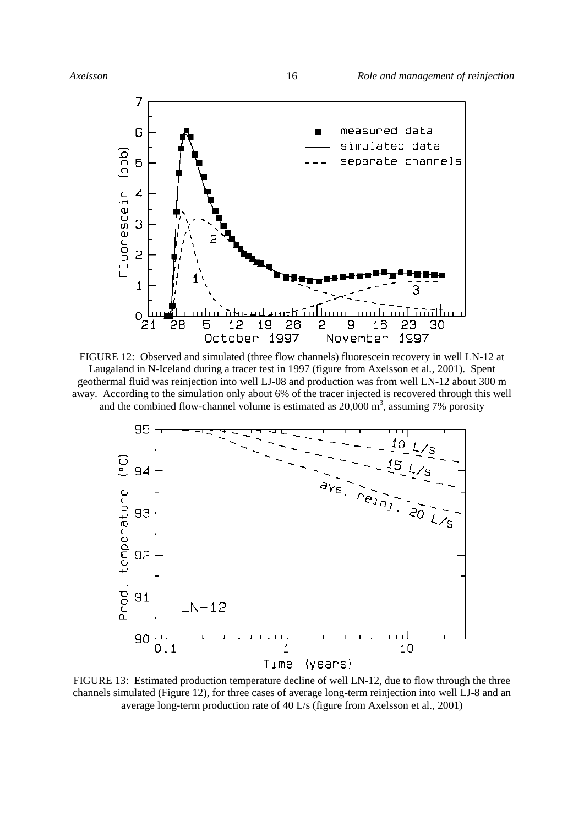

FIGURE 12: Observed and simulated (three flow channels) fluorescein recovery in well LN-12 at Laugaland in N-Iceland during a tracer test in 1997 (figure from Axelsson et al*.*, 2001). Spent geothermal fluid was reinjection into well LJ-08 and production was from well LN-12 about 300 m away. According to the simulation only about 6% of the tracer injected is recovered through this well and the combined flow-channel volume is estimated as  $20,000$  m<sup>3</sup>, assuming 7% porosity



FIGURE 13: Estimated production temperature decline of well LN-12, due to flow through the three channels simulated (Figure 12), for three cases of average long-term reinjection into well LJ-8 and an average long-term production rate of 40 L/s (figure from Axelsson et al*.*, 2001)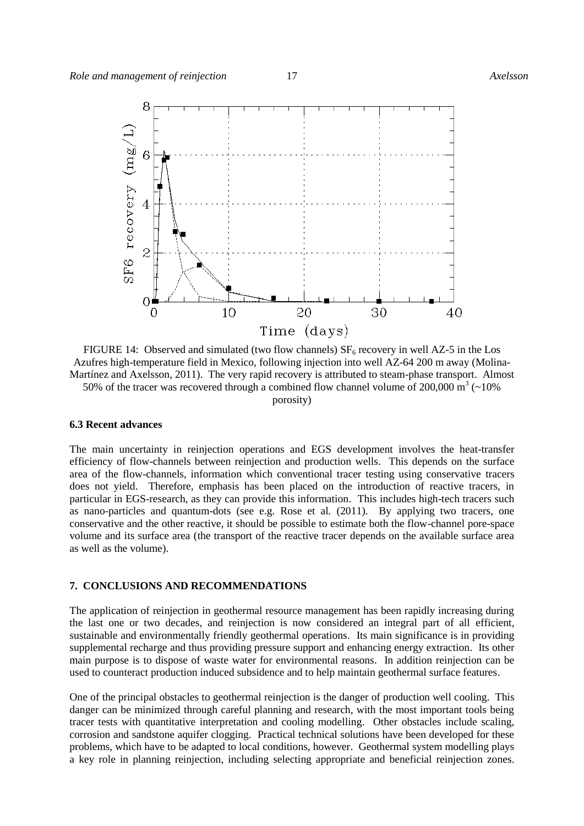

FIGURE 14: Observed and simulated (two flow channels)  $SF<sub>6</sub>$  recovery in well AZ-5 in the Los Azufres high-temperature field in Mexico, following injection into well AZ-64 200 m away (Molina-Martínez and Axelsson, 2011). The very rapid recovery is attributed to steam-phase transport. Almost 50% of the tracer was recovered through a combined flow channel volume of 200,000  $\text{m}^3$  (~10%) porosity)

# **6.3 Recent advances**

The main uncertainty in reinjection operations and EGS development involves the heat-transfer efficiency of flow-channels between reinjection and production wells. This depends on the surface area of the flow-channels, information which conventional tracer testing using conservative tracers does not yield. Therefore, emphasis has been placed on the introduction of reactive tracers, in particular in EGS-research, as they can provide this information. This includes high-tech tracers such as nano-particles and quantum-dots (see e.g. Rose et al*.* (2011). By applying two tracers, one conservative and the other reactive, it should be possible to estimate both the flow-channel pore-space volume and its surface area (the transport of the reactive tracer depends on the available surface area as well as the volume).

# **7. CONCLUSIONS AND RECOMMENDATIONS**

The application of reinjection in geothermal resource management has been rapidly increasing during the last one or two decades, and reinjection is now considered an integral part of all efficient, sustainable and environmentally friendly geothermal operations. Its main significance is in providing supplemental recharge and thus providing pressure support and enhancing energy extraction. Its other main purpose is to dispose of waste water for environmental reasons. In addition reinjection can be used to counteract production induced subsidence and to help maintain geothermal surface features.

One of the principal obstacles to geothermal reinjection is the danger of production well cooling. This danger can be minimized through careful planning and research, with the most important tools being tracer tests with quantitative interpretation and cooling modelling. Other obstacles include scaling, corrosion and sandstone aquifer clogging. Practical technical solutions have been developed for these problems, which have to be adapted to local conditions, however. Geothermal system modelling plays a key role in planning reinjection, including selecting appropriate and beneficial reinjection zones.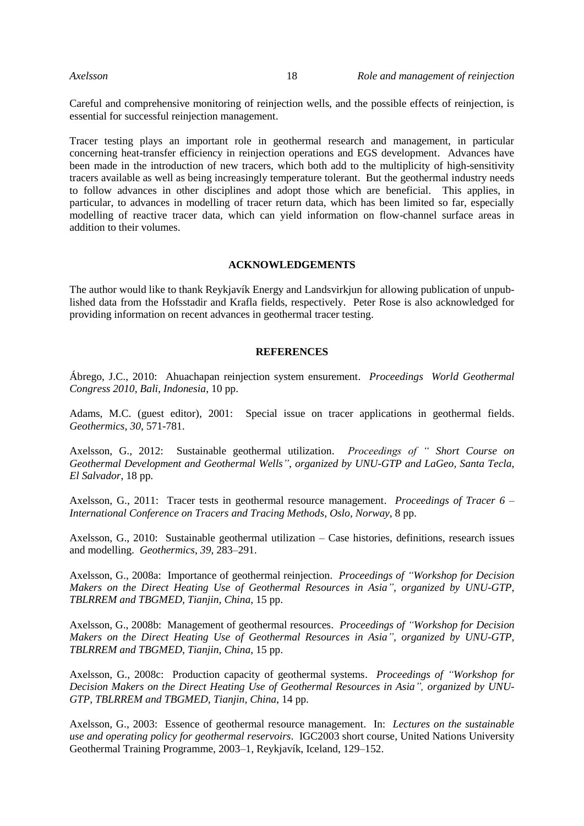Careful and comprehensive monitoring of reinjection wells, and the possible effects of reinjection, is essential for successful reinjection management.

Tracer testing plays an important role in geothermal research and management, in particular concerning heat-transfer efficiency in reinjection operations and EGS development. Advances have been made in the introduction of new tracers, which both add to the multiplicity of high-sensitivity tracers available as well as being increasingly temperature tolerant. But the geothermal industry needs to follow advances in other disciplines and adopt those which are beneficial. This applies, in particular, to advances in modelling of tracer return data, which has been limited so far, especially modelling of reactive tracer data, which can yield information on flow-channel surface areas in addition to their volumes.

### **ACKNOWLEDGEMENTS**

The author would like to thank Reykjavík Energy and Landsvirkjun for allowing publication of unpublished data from the Hofsstadir and Krafla fields, respectively. Peter Rose is also acknowledged for providing information on recent advances in geothermal tracer testing.

### **REFERENCES**

Ábrego, J.C., 2010: Ahuachapan reinjection system ensurement. *Proceedings World Geothermal Congress 2010*, *Bali, Indonesia*, 10 pp.

Adams, M.C. (guest editor), 2001: Special issue on tracer applications in geothermal fields. *Geothermics*, *30*, 571-781.

Axelsson, G., 2012: Sustainable geothermal utilization. *Proceedings of " Short Course on Geothermal Development and Geothermal Wells"*, *organized by UNU-GTP and LaGeo, Santa Tecla, El Salvador*, 18 pp.

Axelsson, G., 2011: Tracer tests in geothermal resource management. *Proceedings of Tracer 6 – International Conference on Tracers and Tracing Methods*, *Oslo, Norway*, 8 pp.

Axelsson, G., 2010: Sustainable geothermal utilization – Case histories, definitions, research issues and modelling. *Geothermics*, *39*, 283–291.

Axelsson, G., 2008a: Importance of geothermal reinjection. *Proceedings of "Workshop for Decision Makers on the Direct Heating Use of Geothermal Resources in Asia", organized by UNU-GTP, TBLRREM and TBGMED, Tianjin, China*, 15 pp.

Axelsson, G., 2008b: Management of geothermal resources. *Proceedings of "Workshop for Decision Makers on the Direct Heating Use of Geothermal Resources in Asia", organized by UNU-GTP, TBLRREM and TBGMED, Tianjin, China*, 15 pp.

Axelsson, G., 2008c: Production capacity of geothermal systems. *Proceedings of "Workshop for Decision Makers on the Direct Heating Use of Geothermal Resources in Asia", organized by UNU-GTP, TBLRREM and TBGMED, Tianjin, China*, 14 pp.

Axelsson, G., 2003: Essence of geothermal resource management. In: *Lectures on the sustainable use and operating policy for geothermal reservoirs*. IGC2003 short course, United Nations University Geothermal Training Programme, 2003–1, Reykjavík, Iceland, 129–152.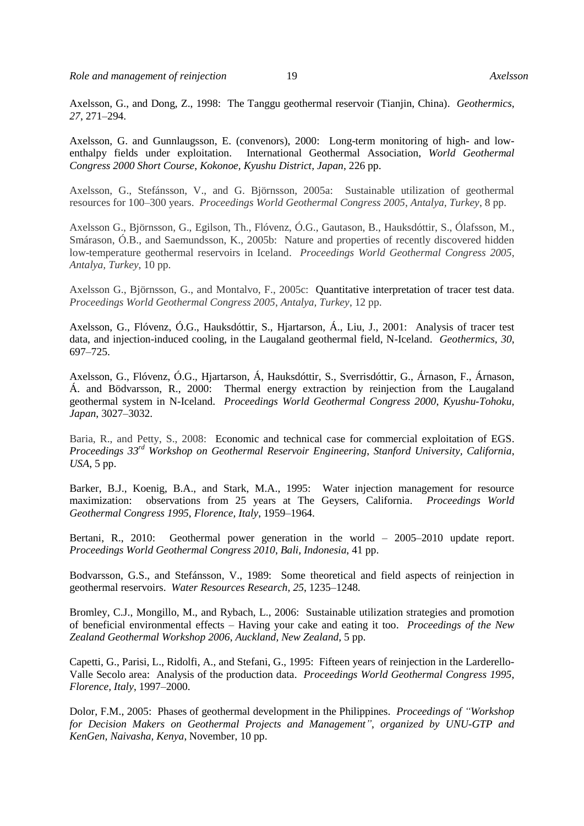*Role and management of reinjection* 19 *Axelsson*

Axelsson, G., and Dong, Z., 1998: The Tanggu geothermal reservoir (Tianjin, China). *Geothermics*, *27*, 271–294.

Axelsson, G. and Gunnlaugsson, E. (convenors), 2000: Long-term monitoring of high- and lowenthalpy fields under exploitation. International Geothermal Association, *World Geothermal Congress 2000 Short Course*, *Kokonoe, Kyushu District, Japan*, 226 pp.

Axelsson, G., Stefánsson, V., and G. Björnsson, 2005a: Sustainable utilization of geothermal resources for 100–300 years. *Proceedings World Geothermal Congress 2005*, *Antalya, Turkey*, 8 pp.

Axelsson G., Björnsson, G., Egilson, Th., Flóvenz, Ó.G., Gautason, B., Hauksdóttir, S., Ólafsson, M., Smárason, Ó.B., and Saemundsson, K., 2005b: Nature and properties of recently discovered hidden low-temperature geothermal reservoirs in Iceland. *Proceedings World Geothermal Congress 2005*, *Antalya, Turkey*, 10 pp.

Axelsson G., Björnsson, G., and Montalvo, F., 2005c: Quantitative interpretation of tracer test data. *Proceedings World Geothermal Congress 2005*, *Antalya, Turkey*, 12 pp.

Axelsson, G., Flóvenz, Ó.G., Hauksdóttir, S., Hjartarson, Á., Liu, J., 2001: Analysis of tracer test data, and injection-induced cooling, in the Laugaland geothermal field, N-Iceland. *Geothermics, 30*, 697–725.

Axelsson, G., Flóvenz, Ó.G., Hjartarson, Á, Hauksdóttir, S., Sverrisdóttir, G., Árnason, F., Árnason, Á. and Bödvarsson, R., 2000: Thermal energy extraction by reinjection from the Laugaland geothermal system in N-Iceland. *Proceedings World Geothermal Congress 2000*, *Kyushu-Tohoku, Japan*, 3027–3032.

Baria, R., and Petty, S., 2008: Economic and technical case for commercial exploitation of EGS. *Proceedings 33rd Workshop on Geothermal Reservoir Engineering*, *Stanford University, California*, *USA*, 5 pp.

Barker, B.J., Koenig, B.A., and Stark, M.A., 1995: Water injection management for resource maximization: observations from 25 years at The Geysers, California. *Proceedings World Geothermal Congress 1995*, *Florence, Italy*, 1959–1964.

Bertani, R., 2010: Geothermal power generation in the world – 2005–2010 update report. *Proceedings World Geothermal Congress 2010*, *Bali, Indonesia*, 41 pp.

Bodvarsson, G.S., and Stefánsson, V., 1989: Some theoretical and field aspects of reinjection in geothermal reservoirs. *Water Resources Research, 25*, 1235–1248.

Bromley, C.J., Mongillo, M., and Rybach, L., 2006: Sustainable utilization strategies and promotion of beneficial environmental effects – Having your cake and eating it too. *Proceedings of the New Zealand Geothermal Workshop 2006*, *Auckland, New Zealand*, 5 pp.

Capetti, G., Parisi, L., Ridolfi, A., and Stefani, G., 1995: Fifteen years of reinjection in the Larderello-Valle Secolo area: Analysis of the production data. *Proceedings World Geothermal Congress 1995*, *Florence, Italy*, 1997–2000.

Dolor, F.M., 2005: Phases of geothermal development in the Philippines. *Proceedings of "Workshop for Decision Makers on Geothermal Projects and Management"*, *organized by UNU-GTP and KenGen, Naivasha, Kenya*, November, 10 pp.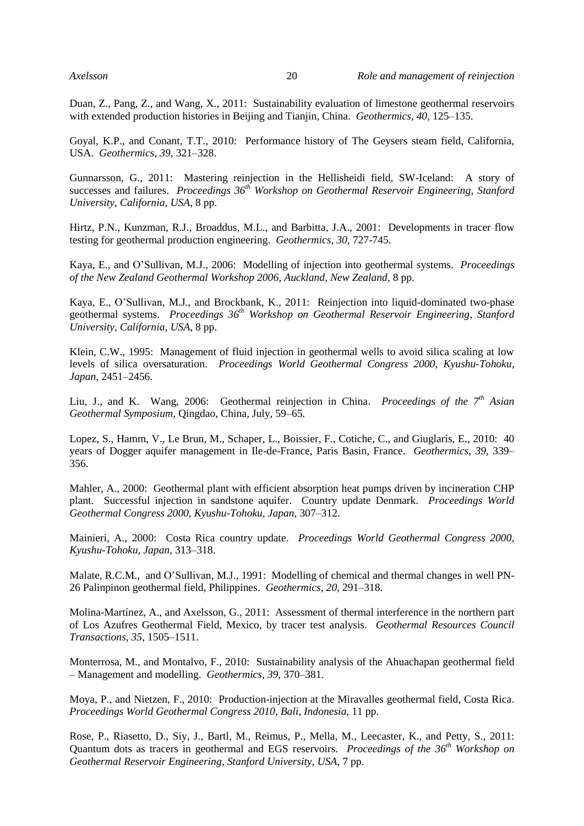Duan, Z., Pang, Z., and Wang, X., 2011: Sustainability evaluation of limestone geothermal reservoirs with extended production histories in Beijing and Tianjin, China. *Geothermics*, *40*, 125–135.

Goyal, K.P., and Conant, T.T., 2010: Performance history of The Geysers steam field, California, USA. *Geothermics*, *39*, 321–328.

Gunnarsson, G., 2011: Mastering reinjection in the Hellisheidi field, SW-Iceland: A story of successes and failures. *Proceedings 36 th Workshop on Geothermal Reservoir Engineering*, *Stanford University, California*, *USA*, 8 pp.

Hirtz, P.N., Kunzman, R.J., Broaddus, M.L., and Barbitta, J.A., 2001: [Developments in tracer flow](http://www.sciencedirect.com/science/article/pii/S0375650501000232)  [testing for geothermal production engineering.](http://www.sciencedirect.com/science/article/pii/S0375650501000232) *Geothermics*, *30*, 727-745.

Kaya, E., and O'Sullivan, M.J., 2006: Modelling of injection into geothermal systems. *Proceedings of the New Zealand Geothermal Workshop 2006*, *Auckland, New Zealand*, 8 pp.

Kaya, E., O'Sullivan, M.J., and Brockbank, K., 2011: Reinjection into liquid-dominated two-phase geothermal systems. *Proceedings 36 th Workshop on Geothermal Reservoir Engineering*, *Stanford University, California, USA*, 8 pp.

Klein, C.W., 1995: Management of fluid injection in geothermal wells to avoid silica scaling at low levels of silica oversaturation. *Proceedings World Geothermal Congress 2000*, *Kyushu-Tohoku, Japan*, 2451–2456.

Liu, J., and K. Wang, 2006: Geothermal reinjection in China. *Proceedings of the 7th Asian Geothermal Symposium*, Qingdao, China, July, 59–65.

Lopez, S., Hamm, V., Le Brun, M., Schaper, L., Boissier, F., Cotiche, C., and Giuglaris, E., 2010: 40 years of Dogger aquifer management in Ile-de-France, Paris Basin, France. *Geothermics*, *39*, 339– 356.

Mahler, A., 2000: Geothermal plant with efficient absorption heat pumps driven by incineration CHP plant. Successful injection in sandstone aquifer. Country update Denmark. *Proceedings World Geothermal Congress 2000*, *Kyushu-Tohoku, Japan*, 307–312.

Mainieri, A., 2000: Costa Rica country update. *Proceedings World Geothermal Congress 2000*, *Kyushu-Tohoku, Japan*, 313–318.

Malate, R.C.M., and O'Sullivan, M.J., 1991: Modelling of chemical and thermal changes in well PN-26 Palinpinon geothermal field, Philippines. *Geothermics*, *20*, 291–318.

Molina-Martínez, A., and Axelsson, G., 2011: Assessment of thermal interference in the northern part of Los Azufres Geothermal Field, Mexico, by tracer test analysis. *Geothermal Resources Council Transactions*, *35*, 1505–1511.

Monterrosa, M., and Montalvo, F., 2010: Sustainability analysis of the Ahuachapan geothermal field – Management and modelling. *Geothermics*, *39,* 370–381.

Moya, P., and Nietzen, F., 2010: Production-injection at the Miravalles geothermal field, Costa Rica. *Proceedings World Geothermal Congress 2010*, *Bali, Indonesia*, 11 pp.

Rose, P., Riasetto, D., Siy, J., Bartl, M., Reimus, P., Mella, M., Leecaster, K., and Petty, S., 2011: Quantum dots as tracers in geothermal and EGS reservoirs. *Proceedings of the 36th Workshop on Geothermal Reservoir Engineering*, *Stanford University, USA*, 7 pp.